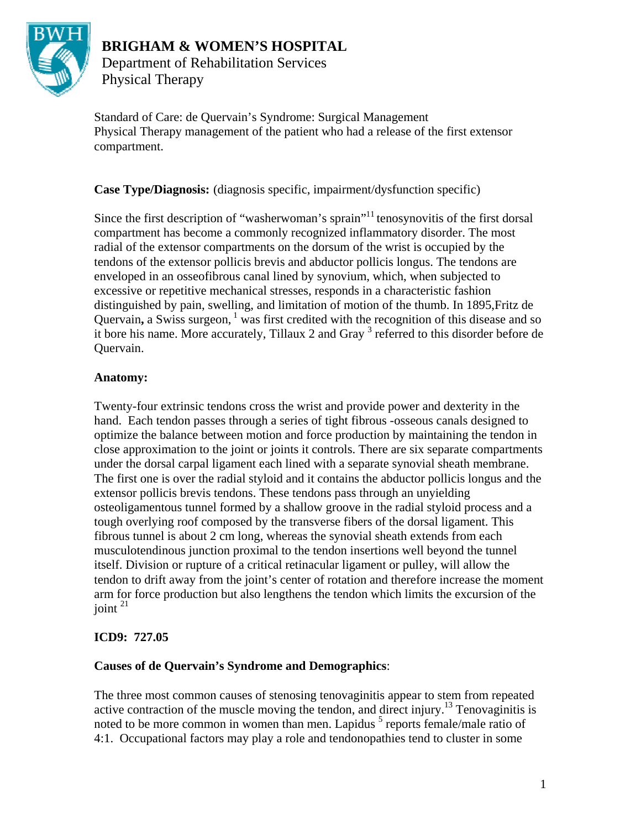

# **BRIGHAM & WOMEN'S HOSPITAL**

Department of Rehabilitation Services Physical Therapy

Standard of Care: de Quervain's Syndrome: Surgical Management Physical Therapy management of the patient who had a release of the first extensor compartment.

**Case Type/Diagnosis:** (diagnosis specific, impairment/dysfunction specific)

Since the first description of "washerwoman's sprain"<sup>11</sup> tenosynovitis of the first dorsal compartment has become a commonly recognized inflammatory disorder. The most radial of the extensor compartments on the dorsum of the wrist is occupied by the tendons of the extensor pollicis brevis and abductor pollicis longus. The tendons are enveloped in an osseofibrous canal lined by synovium, which, when subjected to excessive or repetitive mechanical stresses, responds in a characteristic fashion distinguished by pain, swelling, and limitation of motion of the thumb. In 1895,Fritz de Quervain, a Swiss surgeon, <sup>1</sup> was first credited with the recognition of this disease and so it bore his name. More accurately, Tillaux 2 and Gray<sup>3</sup> referred to this disorder before de Quervain.

# **Anatomy:**

Twenty-four extrinsic tendons cross the wrist and provide power and dexterity in the hand. Each tendon passes through a series of tight fibrous -osseous canals designed to optimize the balance between motion and force production by maintaining the tendon in close approximation to the joint or joints it controls. There are six separate compartments under the dorsal carpal ligament each lined with a separate synovial sheath membrane. The first one is over the radial styloid and it contains the abductor pollicis longus and the extensor pollicis brevis tendons. These tendons pass through an unyielding osteoligamentous tunnel formed by a shallow groove in the radial styloid process and a tough overlying roof composed by the transverse fibers of the dorsal ligament. This fibrous tunnel is about 2 cm long, whereas the synovial sheath extends from each musculotendinous junction proximal to the tendon insertions well beyond the tunnel itself. Division or rupture of a critical retinacular ligament or pulley, will allow the tendon to drift away from the joint's center of rotation and therefore increase the moment arm for force production but also lengthens the tendon which limits the excursion of the joint  $^{21}$ 

# **ICD9: 727.05**

# **Causes of de Quervain's Syndrome and Demographics**:

The three most common causes of stenosing tenovaginitis appear to stem from repeated active contraction of the muscle moving the tendon, and direct injury.<sup>13</sup> Tenovaginitis is noted to be more common in women than men. Lapidus <sup>5</sup> reports female/male ratio of 4:1. Occupational factors may play a role and tendonopathies tend to cluster in some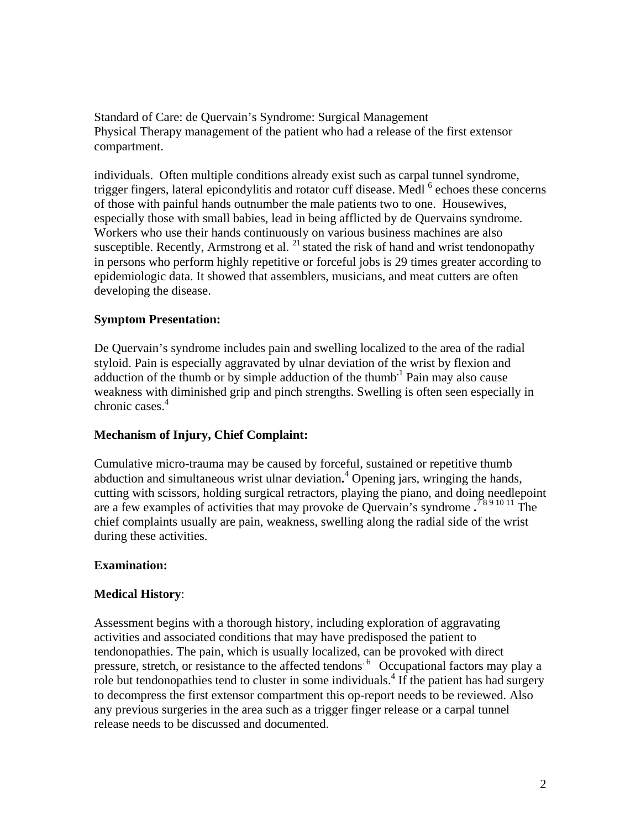individuals. Often multiple conditions already exist such as carpal tunnel syndrome, trigger fingers, lateral epicondylitis and rotator cuff disease. Medl <sup>6</sup> echoes these concerns of those with painful hands outnumber the male patients two to one. Housewives, especially those with small babies, lead in being afflicted by de Quervains syndrome. Workers who use their hands continuously on various business machines are also susceptible. Recently, Armstrong et al.  $^{21}$  stated the risk of hand and wrist tendonopathy in persons who perform highly repetitive or forceful jobs is 29 times greater according to epidemiologic data. It showed that assemblers, musicians, and meat cutters are often developing the disease.

# **Symptom Presentation:**

De Quervain's syndrome includes pain and swelling localized to the area of the radial styloid. Pain is especially aggravated by ulnar deviation of the wrist by flexion and adduction of the thumb or by simple adduction of the thumb**.**<sup>1</sup> Pain may also cause weakness with diminished grip and pinch strengths. Swelling is often seen especially in chronic cases.<sup>4</sup>

### **Mechanism of Injury, Chief Complaint:**

Cumulative micro-trauma may be caused by forceful, sustained or repetitive thumb abduction and simultaneous wrist ulnar deviation.<sup>4</sup> Opening jars, wringing the hands, cutting with scissors, holding surgical retractors, playing the piano, and doing needlepoint are a few examples of activities that may provoke de Quervain's syndrome **.** 7 8 9 10 11 The chief complaints usually are pain, weakness, swelling along the radial side of the wrist during these activities.

### **Examination:**

# **Medical History**:

Assessment begins with a thorough history, including exploration of aggravating activities and associated conditions that may have predisposed the patient to tendonopathies. The pain, which is usually localized, can be provoked with direct pressure, stretch, or resistance to the affected tendons<sup>6</sup> Occupational factors may play a role but tendonopathies tend to cluster in some individuals.<sup>4</sup> If the patient has had surgery to decompress the first extensor compartment this op-report needs to be reviewed. Also any previous surgeries in the area such as a trigger finger release or a carpal tunnel release needs to be discussed and documented.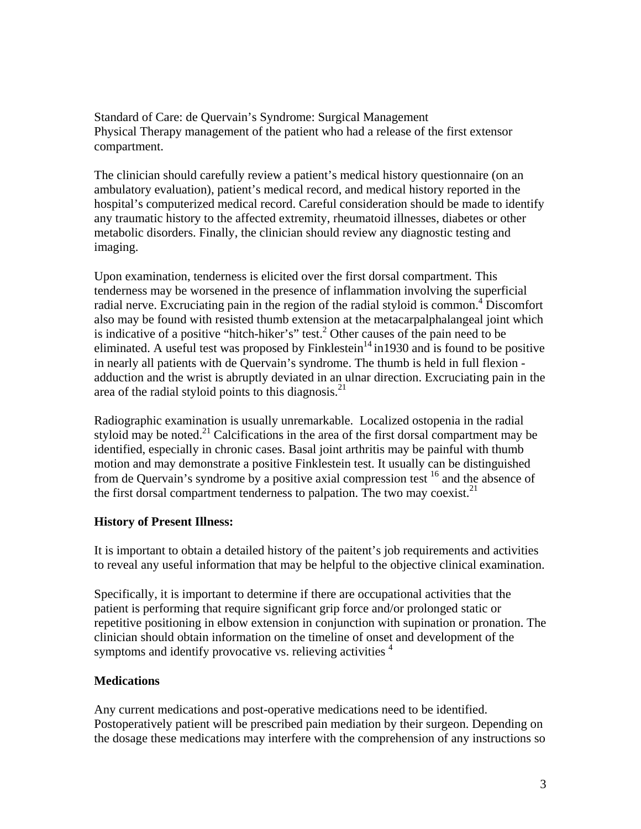The clinician should carefully review a patient's medical history questionnaire (on an ambulatory evaluation), patient's medical record, and medical history reported in the hospital's computerized medical record. Careful consideration should be made to identify any traumatic history to the affected extremity, rheumatoid illnesses, diabetes or other metabolic disorders. Finally, the clinician should review any diagnostic testing and imaging.

Upon examination, tenderness is elicited over the first dorsal compartment. This tenderness may be worsened in the presence of inflammation involving the superficial radial nerve. Excruciating pain in the region of the radial styloid is common.<sup>4</sup> Discomfort also may be found with resisted thumb extension at the metacarpalphalangeal joint which is indicative of a positive "hitch-hiker's" test.<sup>2</sup> Other causes of the pain need to be eliminated. A useful test was proposed by Finklestein<sup>14</sup> in1930 and is found to be positive in nearly all patients with de Quervain's syndrome. The thumb is held in full flexion adduction and the wrist is abruptly deviated in an ulnar direction. Excruciating pain in the area of the radial styloid points to this diagnosis. $^{21}$ 

Radiographic examination is usually unremarkable. Localized ostopenia in the radial styloid may be noted.<sup>21</sup> Calcifications in the area of the first dorsal compartment may be identified, especially in chronic cases. Basal joint arthritis may be painful with thumb motion and may demonstrate a positive Finklestein test. It usually can be distinguished from de Quervain's syndrome by a positive axial compression test 16 and the absence of the first dorsal compartment tenderness to palpation. The two may coexist.<sup>21</sup>

### **History of Present Illness:**

It is important to obtain a detailed history of the paitent's job requirements and activities to reveal any useful information that may be helpful to the objective clinical examination.

Specifically, it is important to determine if there are occupational activities that the patient is performing that require significant grip force and/or prolonged static or repetitive positioning in elbow extension in conjunction with supination or pronation. The clinician should obtain information on the timeline of onset and development of the symptoms and identify provocative vs. relieving activities  $4\overline{ }$ 

# **Medications**

Any current medications and post-operative medications need to be identified. Postoperatively patient will be prescribed pain mediation by their surgeon. Depending on the dosage these medications may interfere with the comprehension of any instructions so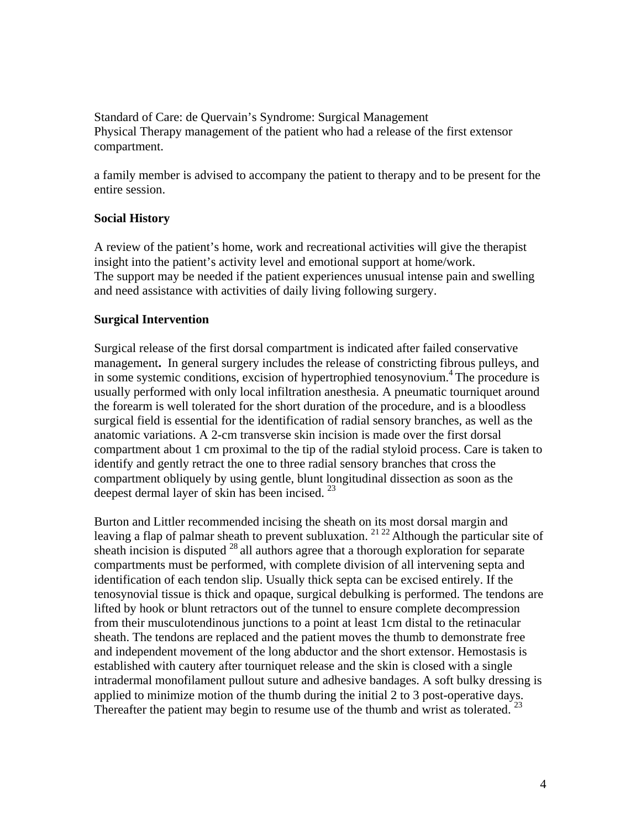a family member is advised to accompany the patient to therapy and to be present for the entire session.

### **Social History**

A review of the patient's home, work and recreational activities will give the therapist insight into the patient's activity level and emotional support at home/work. The support may be needed if the patient experiences unusual intense pain and swelling and need assistance with activities of daily living following surgery.

### **Surgical Intervention**

Surgical release of the first dorsal compartment is indicated after failed conservative management**.** In general surgery includes the release of constricting fibrous pulleys, and in some systemic conditions, excision of hypertrophied tenosynovium. 4 The procedure is usually performed with only local infiltration anesthesia. A pneumatic tourniquet around the forearm is well tolerated for the short duration of the procedure, and is a bloodless surgical field is essential for the identification of radial sensory branches, as well as the anatomic variations. A 2-cm transverse skin incision is made over the first dorsal compartment about 1 cm proximal to the tip of the radial styloid process. Care is taken to identify and gently retract the one to three radial sensory branches that cross the compartment obliquely by using gentle, blunt longitudinal dissection as soon as the deepest dermal layer of skin has been incised.  $^{23}$ 

Burton and Littler recommended incising the sheath on its most dorsal margin and leaving a flap of palmar sheath to prevent subluxation.  $21 22$  Although the particular site of sheath incision is disputed  $^{28}$  all authors agree that a thorough exploration for separate compartments must be performed, with complete division of all intervening septa and identification of each tendon slip. Usually thick septa can be excised entirely. If the tenosynovial tissue is thick and opaque, surgical debulking is performed. The tendons are lifted by hook or blunt retractors out of the tunnel to ensure complete decompression from their musculotendinous junctions to a point at least 1cm distal to the retinacular sheath. The tendons are replaced and the patient moves the thumb to demonstrate free and independent movement of the long abductor and the short extensor. Hemostasis is established with cautery after tourniquet release and the skin is closed with a single intradermal monofilament pullout suture and adhesive bandages. A soft bulky dressing is applied to minimize motion of the thumb during the initial 2 to 3 post-operative days. Thereafter the patient may begin to resume use of the thumb and wrist as tolerated.  $^{23}$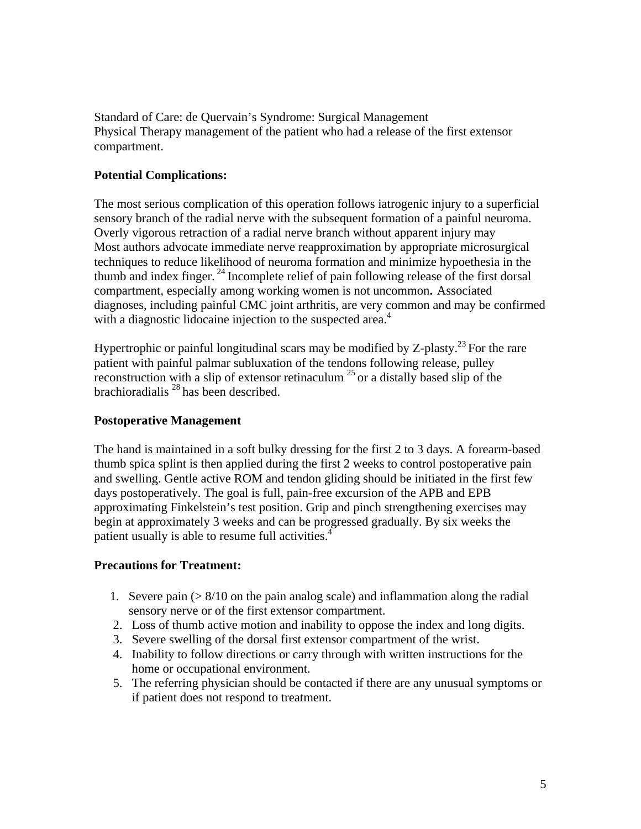### **Potential Complications:**

The most serious complication of this operation follows iatrogenic injury to a superficial sensory branch of the radial nerve with the subsequent formation of a painful neuroma. Overly vigorous retraction of a radial nerve branch without apparent injury may Most authors advocate immediate nerve reapproximation by appropriate microsurgical techniques to reduce likelihood of neuroma formation and minimize hypoethesia in the thumb and index finger.  $^{24}$  Incomplete relief of pain following release of the first dorsal compartment, especially among working women is not uncommon**.** Associated diagnoses, including painful CMC joint arthritis, are very common and may be confirmed with a diagnostic lidocaine injection to the suspected area.<sup>4</sup>

Hypertrophic or painful longitudinal scars may be modified by Z-plasty.<sup>23</sup> For the rare patient with painful palmar subluxation of the tendons following release, pulley reconstruction with a slip of extensor retinaculum  $^{25}$  or a distally based slip of the brachioradialis  $^{28}$  has been described.

### **Postoperative Management**

The hand is maintained in a soft bulky dressing for the first 2 to 3 days. A forearm-based thumb spica splint is then applied during the first 2 weeks to control postoperative pain and swelling. Gentle active ROM and tendon gliding should be initiated in the first few days postoperatively. The goal is full, pain-free excursion of the APB and EPB approximating Finkelstein's test position. Grip and pinch strengthening exercises may begin at approximately 3 weeks and can be progressed gradually. By six weeks the patient usually is able to resume full activities.<sup>4</sup>

### **Precautions for Treatment:**

- 1. Severe pain  $(> 8/10)$  on the pain analog scale) and inflammation along the radial sensory nerve or of the first extensor compartment.
- 2. Loss of thumb active motion and inability to oppose the index and long digits.
- 3. Severe swelling of the dorsal first extensor compartment of the wrist.
- 4. Inability to follow directions or carry through with written instructions for the home or occupational environment.
- 5. The referring physician should be contacted if there are any unusual symptoms or if patient does not respond to treatment.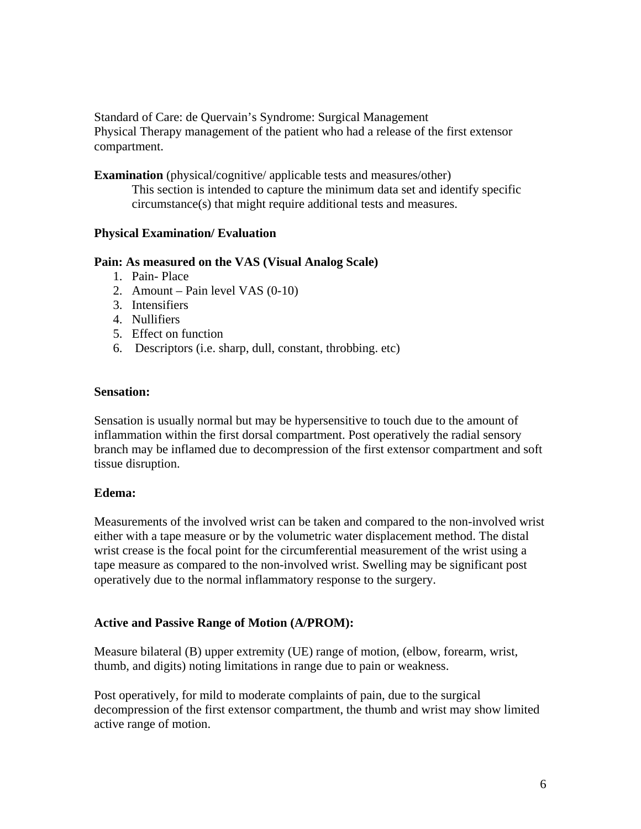**Examination** (physical/cognitive/ applicable tests and measures/other) This section is intended to capture the minimum data set and identify specific circumstance(s) that might require additional tests and measures.

### **Physical Examination/ Evaluation**

### **Pain: As measured on the VAS (Visual Analog Scale)**

- 1. Pain- Place
- 2. Amount Pain level VAS (0-10)
- 3. Intensifiers
- 4. Nullifiers
- 5. Effect on function
- 6. Descriptors (i.e. sharp, dull, constant, throbbing. etc)

### **Sensation:**

Sensation is usually normal but may be hypersensitive to touch due to the amount of inflammation within the first dorsal compartment. Post operatively the radial sensory branch may be inflamed due to decompression of the first extensor compartment and soft tissue disruption.

### **Edema:**

Measurements of the involved wrist can be taken and compared to the non-involved wrist either with a tape measure or by the volumetric water displacement method. The distal wrist crease is the focal point for the circumferential measurement of the wrist using a tape measure as compared to the non-involved wrist. Swelling may be significant post operatively due to the normal inflammatory response to the surgery.

### **Active and Passive Range of Motion (A/PROM):**

Measure bilateral (B) upper extremity (UE) range of motion, (elbow, forearm, wrist, thumb, and digits) noting limitations in range due to pain or weakness.

Post operatively, for mild to moderate complaints of pain, due to the surgical decompression of the first extensor compartment, the thumb and wrist may show limited active range of motion.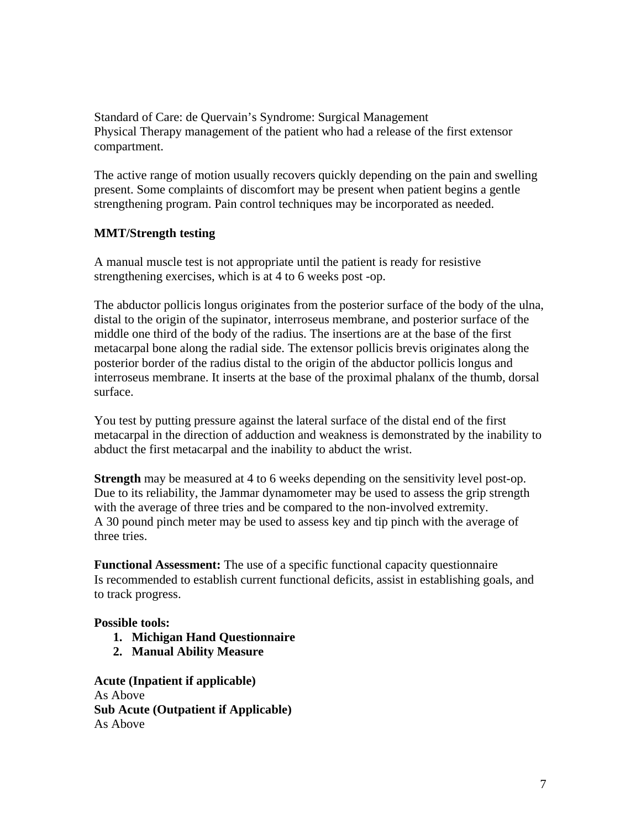The active range of motion usually recovers quickly depending on the pain and swelling present. Some complaints of discomfort may be present when patient begins a gentle strengthening program. Pain control techniques may be incorporated as needed.

# **MMT/Strength testing**

A manual muscle test is not appropriate until the patient is ready for resistive strengthening exercises, which is at 4 to 6 weeks post -op.

The abductor pollicis longus originates from the posterior surface of the body of the ulna, distal to the origin of the supinator, interroseus membrane, and posterior surface of the middle one third of the body of the radius. The insertions are at the base of the first metacarpal bone along the radial side. The extensor pollicis brevis originates along the posterior border of the radius distal to the origin of the abductor pollicis longus and interroseus membrane. It inserts at the base of the proximal phalanx of the thumb, dorsal surface.

You test by putting pressure against the lateral surface of the distal end of the first metacarpal in the direction of adduction and weakness is demonstrated by the inability to abduct the first metacarpal and the inability to abduct the wrist.

**Strength** may be measured at 4 to 6 weeks depending on the sensitivity level post-op. Due to its reliability, the Jammar dynamometer may be used to assess the grip strength with the average of three tries and be compared to the non-involved extremity. A 30 pound pinch meter may be used to assess key and tip pinch with the average of three tries.

**Functional Assessment:** The use of a specific functional capacity questionnaire Is recommended to establish current functional deficits, assist in establishing goals, and to track progress.

### **Possible tools:**

- **1. Michigan Hand Questionnaire**
- **2. Manual Ability Measure**

**Acute (Inpatient if applicable)**  As Above **Sub Acute (Outpatient if Applicable)**  As Above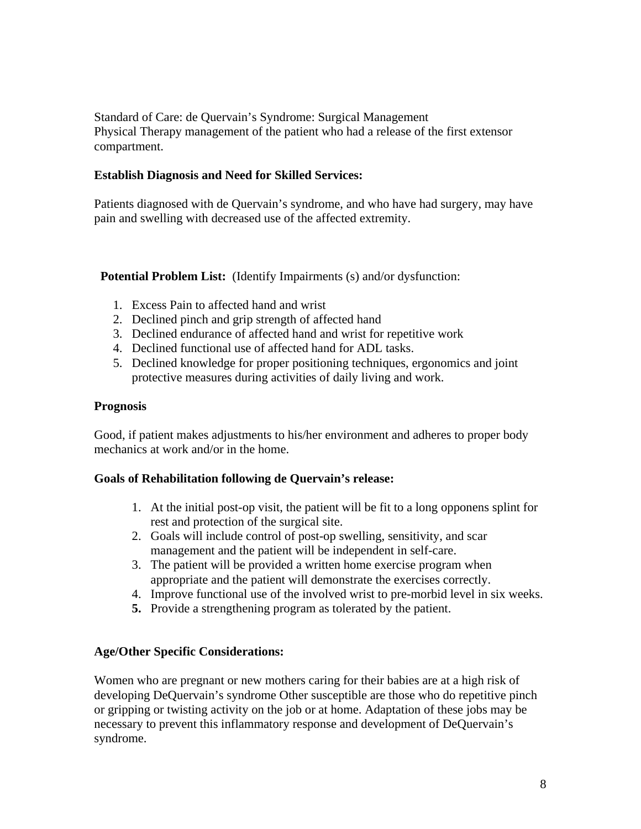### **Establish Diagnosis and Need for Skilled Services:**

Patients diagnosed with de Quervain's syndrome, and who have had surgery, may have pain and swelling with decreased use of the affected extremity.

**Potential Problem List:** (Identify Impairments (s) and/or dysfunction:

- 1. Excess Pain to affected hand and wrist
- 2. Declined pinch and grip strength of affected hand
- 3. Declined endurance of affected hand and wrist for repetitive work
- 4. Declined functional use of affected hand for ADL tasks.
- 5. Declined knowledge for proper positioning techniques, ergonomics and joint protective measures during activities of daily living and work.

### **Prognosis**

Good, if patient makes adjustments to his/her environment and adheres to proper body mechanics at work and/or in the home.

# **Goals of Rehabilitation following de Quervain's release:**

- 1. At the initial post-op visit, the patient will be fit to a long opponens splint for rest and protection of the surgical site.
- 2. Goals will include control of post-op swelling, sensitivity, and scar management and the patient will be independent in self-care.
- 3. The patient will be provided a written home exercise program when appropriate and the patient will demonstrate the exercises correctly.
- 4. Improve functional use of the involved wrist to pre-morbid level in six weeks.
- **5.** Provide a strengthening program as tolerated by the patient.

# **Age/Other Specific Considerations:**

Women who are pregnant or new mothers caring for their babies are at a high risk of developing DeQuervain's syndrome Other susceptible are those who do repetitive pinch or gripping or twisting activity on the job or at home. Adaptation of these jobs may be necessary to prevent this inflammatory response and development of DeQuervain's syndrome.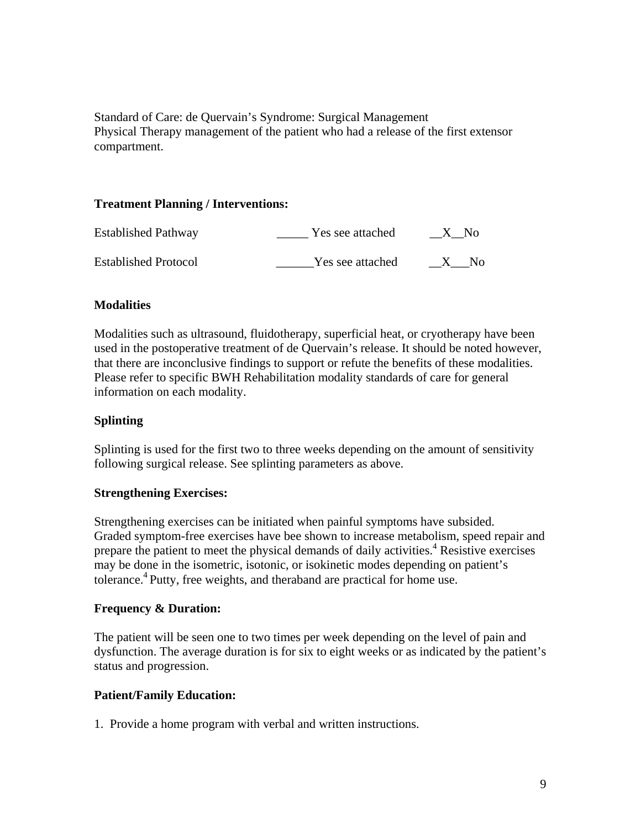### **Treatment Planning / Interventions:**

| <b>Established Pathway</b>  | Yes see attached | $\_X$ No |
|-----------------------------|------------------|----------|
| <b>Established Protocol</b> | Yes see attached | - No     |

### **Modalities**

Modalities such as ultrasound, fluidotherapy, superficial heat, or cryotherapy have been used in the postoperative treatment of de Quervain's release. It should be noted however, that there are inconclusive findings to support or refute the benefits of these modalities. Please refer to specific BWH Rehabilitation modality standards of care for general information on each modality.

### **Splinting**

Splinting is used for the first two to three weeks depending on the amount of sensitivity following surgical release. See splinting parameters as above.

### **Strengthening Exercises:**

Strengthening exercises can be initiated when painful symptoms have subsided. Graded symptom-free exercises have bee shown to increase metabolism, speed repair and prepare the patient to meet the physical demands of daily activities.<sup>4</sup> Resistive exercises may be done in the isometric, isotonic, or isokinetic modes depending on patient's tolerance.<sup>4</sup> Putty, free weights, and theraband are practical for home use.

### **Frequency & Duration:**

The patient will be seen one to two times per week depending on the level of pain and dysfunction. The average duration is for six to eight weeks or as indicated by the patient's status and progression.

### **Patient/Family Education:**

1. Provide a home program with verbal and written instructions.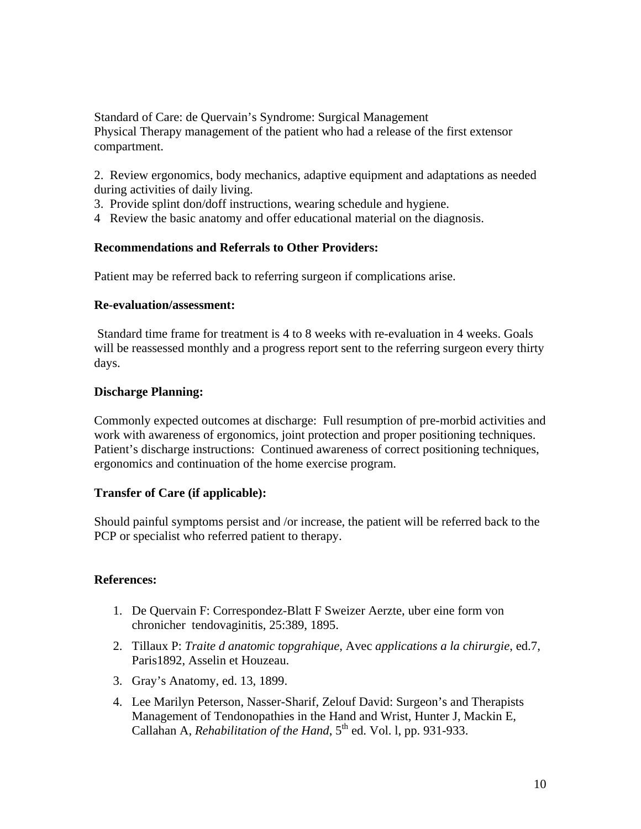2. Review ergonomics, body mechanics, adaptive equipment and adaptations as needed during activities of daily living.

- 3. Provide splint don/doff instructions, wearing schedule and hygiene.
- 4 Review the basic anatomy and offer educational material on the diagnosis.

### **Recommendations and Referrals to Other Providers:**

Patient may be referred back to referring surgeon if complications arise.

### **Re-evaluation/assessment:**

 Standard time frame for treatment is 4 to 8 weeks with re-evaluation in 4 weeks. Goals will be reassessed monthly and a progress report sent to the referring surgeon every thirty days.

### **Discharge Planning:**

Commonly expected outcomes at discharge: Full resumption of pre-morbid activities and work with awareness of ergonomics, joint protection and proper positioning techniques. Patient's discharge instructions: Continued awareness of correct positioning techniques, ergonomics and continuation of the home exercise program.

### **Transfer of Care (if applicable):**

Should painful symptoms persist and /or increase, the patient will be referred back to the PCP or specialist who referred patient to therapy.

# **References:**

- 1. De Quervain F: Correspondez-Blatt F Sweizer Aerzte, uber eine form von chronicher tendovaginitis, 25:389, 1895.
- 2. Tillaux P: *Traite d anatomic topgrahique*, Avec *applications a la chirurgie*, ed.7, Paris1892, Asselin et Houzeau.
- 3. Gray's Anatomy, ed. 13, 1899.
- 4. Lee Marilyn Peterson, Nasser-Sharif, Zelouf David: Surgeon's and Therapists Management of Tendonopathies in the Hand and Wrist, Hunter J, Mackin E, Callahan A, *Rehabilitation of the Hand*, 5<sup>th</sup> ed. Vol. 1, pp. 931-933.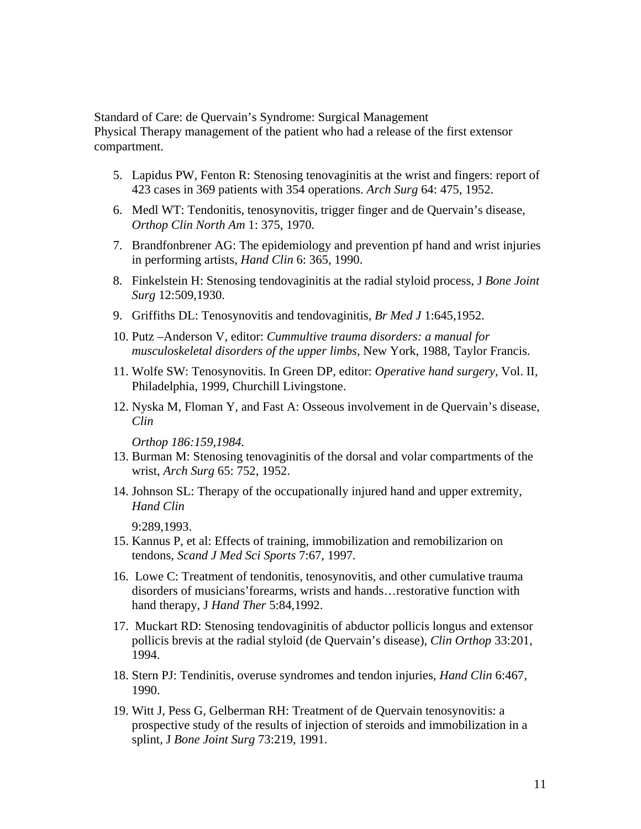- 5. Lapidus PW, Fenton R: Stenosing tenovaginitis at the wrist and fingers: report of 423 cases in 369 patients with 354 operations. *Arch Surg* 64: 475, 1952.
- 6. Medl WT: Tendonitis, tenosynovitis, trigger finger and de Quervain's disease, *Orthop Clin North Am* 1: 375, 1970.
- 7. Brandfonbrener AG: The epidemiology and prevention pf hand and wrist injuries in performing artists, *Hand Clin* 6: 365, 1990.
- 8. Finkelstein H: Stenosing tendovaginitis at the radial styloid process, J *Bone Joint Surg* 12:509,1930.
- 9. Griffiths DL: Tenosynovitis and tendovaginitis, *Br Med J* 1:645,1952.
- 10. Putz –Anderson V, editor: *Cummultive trauma disorders: a manual for musculoskeletal disorders of the upper limbs*, New York, 1988, Taylor Francis.
- 11. Wolfe SW: Tenosynovitis. In Green DP, editor: *Operative hand surgery*, Vol. II, Philadelphia, 1999, Churchill Livingstone.
- 12. Nyska M, Floman Y, and Fast A: Osseous involvement in de Quervain's disease, *Clin*

*Orthop 186:159,1984.* 

- 13. Burman M: Stenosing tenovaginitis of the dorsal and volar compartments of the wrist, *Arch Surg* 65: 752, 1952.
- 14. Johnson SL: Therapy of the occupationally injured hand and upper extremity, *Hand Clin*

9:289,1993.

- 15. Kannus P, et al: Effects of training, immobilization and remobilizarion on tendons, *Scand J Med Sci Sports* 7:67, 1997.
- 16. Lowe C: Treatment of tendonitis, tenosynovitis, and other cumulative trauma disorders of musicians'forearms, wrists and hands…restorative function with hand therapy, J *Hand Ther* 5:84,1992.
- 17. Muckart RD: Stenosing tendovaginitis of abductor pollicis longus and extensor pollicis brevis at the radial styloid (de Quervain's disease), *Clin Orthop* 33:201, 1994.
- 18. Stern PJ: Tendinitis, overuse syndromes and tendon injuries, *Hand Clin* 6:467, 1990.
- 19. Witt J, Pess G, Gelberman RH: Treatment of de Quervain tenosynovitis: a prospective study of the results of injection of steroids and immobilization in a splint, J *Bone Joint Surg* 73:219, 1991.